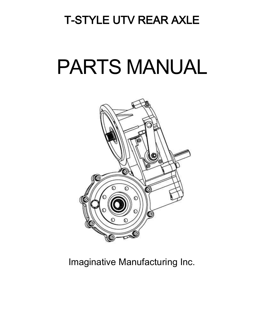## T-STYLE UTV REAR AXLE

# PARTS MANUAL



Imaginative Manufacturing Inc.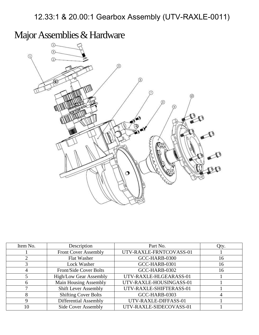12.33:1 & 20.00:1 Gearbox Assembly (UTV-RAXLE-0011)

Major Assemblies & Hardware



| Item No. | Description                   | Part No.                | Qty. |
|----------|-------------------------------|-------------------------|------|
|          | <b>Front Cover Assembly</b>   | UTV-RAXLE-FRNTCOVASS-01 |      |
|          | Flat Washer                   | GCC-HARB-0300           | 16   |
|          | Lock Washer                   | GCC-HARB-0301           | 16   |
|          | <b>Front/Side Cover Bolts</b> | GCC-HARB-0302           | 16   |
|          | <b>High/Low Gear Assembly</b> | UTV-RAXLE-HLGEARASS-01  |      |
| h.       | Main Housing Assembly         | UTV-RAXLE-HOUSINGASS-01 |      |
|          | <b>Shift Lever Assembly</b>   | UTV-RAXLE-SHIFTERASS-01 |      |
| 8        | <b>Shifting Cover Bolts</b>   | GCC-HARB-0303           |      |
|          | Differential Assembly         | UTV-RAXLE-DIFFASS-01    |      |
| 10       | <b>Side Cover Assembly</b>    | UTV-RAXLE-SIDECOVASS-01 |      |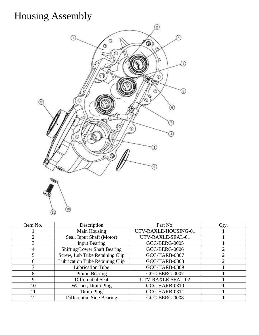## Housing Assembly



| Item No. | Description                         | Part No.             | Qty. |
|----------|-------------------------------------|----------------------|------|
|          | Main Housing                        | UTV-RAXLE-HOUSING-01 |      |
| 2        | Seal, Input Shaft (Motor)           | UTV-RAXLE-SEAL-01    |      |
| 3        | <b>Input Bearing</b>                | GCC-BERG-0005        |      |
| 4        | <b>Shifting/Lower Shaft Bearing</b> | GCC-BERG-0006        |      |
| 5        | Screw, Lub Tube Retaining Clip      | GCC-HARB-0307        |      |
| 6        | Lubrication Tube Retaining Clip     | GCC-HARB-0308        | ◠    |
|          | <b>Lubrication Tube</b>             | GCC-HARB-0309        |      |
| 8        | Pinion Bearing                      | GCC-BERG-0007        |      |
| 9        | Differential Seal                   | UTV-RAXLE-SEAL-02    |      |
| 10       | Washer, Drain Plug                  | GCC-HARB-0310        |      |
| 11       | Drain Plug                          | GCC-HARB-0311        |      |
| 12       | Differential Side Bearing           | GCC-BERG-0008        |      |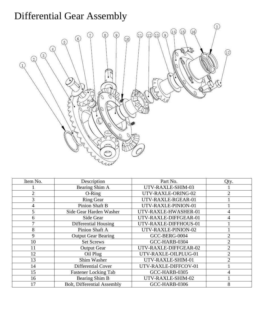## Differential Gear Assembly



| Item No.       | Description                        | Part No.              | Qty.           |
|----------------|------------------------------------|-----------------------|----------------|
|                | Bearing Shim A                     | UTV-RAXLE-SHIM-03     |                |
| 2              | $O-Ring$                           | UTV-RAXLE-ORING-02    | $\overline{2}$ |
| 3              | <b>Ring Gear</b>                   | UTV-RAXLE-RGEAR-01    |                |
| 4              | <b>Pinion Shaft B</b>              | UTV-RAXLE-PINION-01   |                |
| 5              | Side Gear Harden Washer            | UTV-RAXLE-HWASHER-01  | 4              |
| 6              | Side Gear                          | UTV-RAXLE-DIFFGEAR-01 | 4              |
| $\overline{7}$ | Differential Housing               | UTV-RAXLE-DIFFHOUS-01 |                |
| 8              | Pinion Shaft A                     | UTV-RAXLE-PINION-02   |                |
| 9              | <b>Output Gear Bearing</b>         | GCC-BERG-0004         | $\overline{2}$ |
| 10             | <b>Set Screws</b>                  | GCC-HARB-0304         | $\overline{2}$ |
| 11             | <b>Output Gear</b>                 | UTV-RAXLE-DIFFGEAR-02 | $\overline{2}$ |
| 12             | Oil Plug                           | UTV-RAXLE-OILPLUG-01  | $\overline{2}$ |
| 13             | Shim Washer                        | UTV-RAXLE-SHIM-01     | $\overline{2}$ |
| 14             | Differential Cover                 | UTV-RAXLE-DIFFCOV-01  |                |
| 15             | <b>Fastener Locking Tab</b>        | GCC-HARB-0305         | 4              |
| 16             | Bearing Shim B                     | UTV-RAXLE-SHIM-02     |                |
| 17             | <b>Bolt, Differential Assembly</b> | GCC-HARB-0306         | 8              |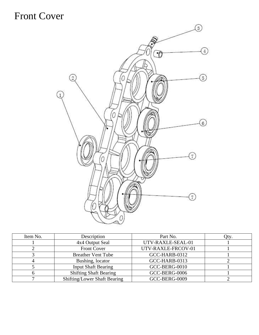#### Front Cover



| Item No. | Description                         | Part No.             | Qty. |
|----------|-------------------------------------|----------------------|------|
|          | 4x4 Output Seal                     | UTV-RAXLE-SEAL-01    |      |
|          | Front Cover                         | UTV-RAXLE-FRCOV-01   |      |
|          | <b>Breather Vent Tube</b>           | GCC-HARB-0312        |      |
|          | Bushing, locator                    | GCC-HARB-0313        |      |
|          | <b>Input Shaft Bearing</b>          | GCC-BERG-0010        |      |
|          | <b>Shifting Shaft Bearing</b>       | GCC-BERG-0006        |      |
|          | <b>Shifting/Lower Shaft Bearing</b> | <b>GCC-BERG-0009</b> |      |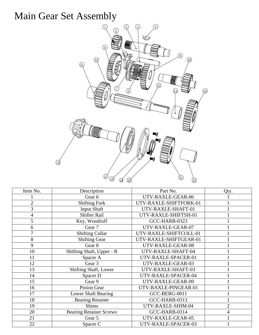## Main Gear Set Assembly



| Description                    |                        | Qty.           |
|--------------------------------|------------------------|----------------|
| Gear 6                         | UTV-RAXLE-GEAR-06      |                |
| <b>Shifting Fork</b>           | UTV-RAXLE-SHIFTFORK-01 |                |
| <b>Input Shaft</b>             | UTV-RAXLE-SHAFT-01     |                |
| <b>Shifter Rail</b>            | UTV-RAXLE-SHIFTSH-01   |                |
| Key, Woodruff                  | GCC-HARB-0323          |                |
| Gear 7                         | UTV-RAXLE-GEAR-07      |                |
| <b>Shifting Collar</b>         | UTV-RAXLE-SHIFTCOLL-01 |                |
| <b>Shifting Gear</b>           | UTV-RAXLE-SHIFTGEAR-01 |                |
| Gear 8                         | UTV-RAXLE-GEAR-08      |                |
| Shifting Shaft, Upper - B      | UTV-RAXLE-SHAFT-04     |                |
| Spacer A                       | UTV-RAXLE-SPACER-01    |                |
| Gear 3                         | UTV-RAXLE-GEAR-03      |                |
| Shifting Shaft, Lower          | UTV-RAXLE-SHAFT-03     |                |
| Spacer D                       | UTV-RAXLE-SPACER-04    |                |
| Gear 9                         | UTV-RAXLE-GEAR-09      |                |
| Pinion Gear                    | UTV-RAXLE-PINGEAR-01   |                |
| Lower Shaft Bearing            | GCC-BERG-0011          |                |
| <b>Bearing Retainer</b>        | GCC-HARB-0313          |                |
| <b>Shims</b>                   | UTV-RAXLE-SHIM-04      | $\overline{2}$ |
| <b>Bearing Retainer Screws</b> | GCC-HARB-0314          | 4              |
| Gear 5                         | UTV-RAXLE-GEAR-05      |                |
| Spacer C                       | UTV-RAXLE-SPACER-03    |                |
|                                |                        | Part No.       |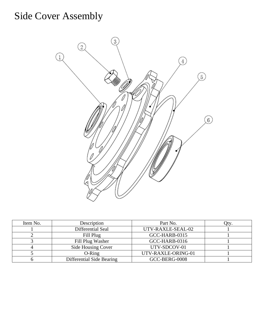## Side Cover Assembly



| Item No. | Description               | Part No.           |  |
|----------|---------------------------|--------------------|--|
|          | Differential Seal         | UTV-RAXLE-SEAL-02  |  |
|          | Fill Plug                 | GCC-HARB-0315      |  |
|          | Fill Plug Washer          | GCC-HARB-0316      |  |
|          | Side Housing Cover        | UTV-SDCOV-01       |  |
|          | $O-Ring$                  | UTV-RAXLE-ORING-01 |  |
|          | Differential Side Bearing | GCC-BERG-0008      |  |